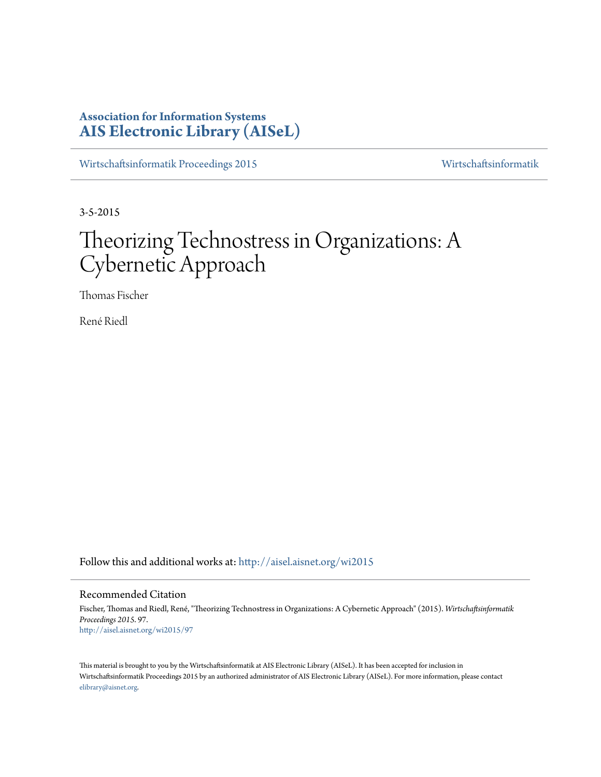# **Association for Information Systems [AIS Electronic Library \(AISeL\)](http://aisel.aisnet.org?utm_source=aisel.aisnet.org%2Fwi2015%2F97&utm_medium=PDF&utm_campaign=PDFCoverPages)**

[Wirtschaftsinformatik Proceedings 2015](http://aisel.aisnet.org/wi2015?utm_source=aisel.aisnet.org%2Fwi2015%2F97&utm_medium=PDF&utm_campaign=PDFCoverPages) [Wirtschaftsinformatik](http://aisel.aisnet.org/wi?utm_source=aisel.aisnet.org%2Fwi2015%2F97&utm_medium=PDF&utm_campaign=PDFCoverPages)

3-5-2015

# Theorizing Technostress in Organizations: A Cybernetic Approach

Thomas Fischer

René Riedl

Follow this and additional works at: [http://aisel.aisnet.org/wi2015](http://aisel.aisnet.org/wi2015?utm_source=aisel.aisnet.org%2Fwi2015%2F97&utm_medium=PDF&utm_campaign=PDFCoverPages)

#### Recommended Citation

Fischer, Thomas and Riedl, René, "Theorizing Technostress in Organizations: A Cybernetic Approach" (2015). *Wirtschaftsinformatik Proceedings 2015*. 97. [http://aisel.aisnet.org/wi2015/97](http://aisel.aisnet.org/wi2015/97?utm_source=aisel.aisnet.org%2Fwi2015%2F97&utm_medium=PDF&utm_campaign=PDFCoverPages)

This material is brought to you by the Wirtschaftsinformatik at AIS Electronic Library (AISeL). It has been accepted for inclusion in Wirtschaftsinformatik Proceedings 2015 by an authorized administrator of AIS Electronic Library (AISeL). For more information, please contact [elibrary@aisnet.org.](mailto:elibrary@aisnet.org%3E)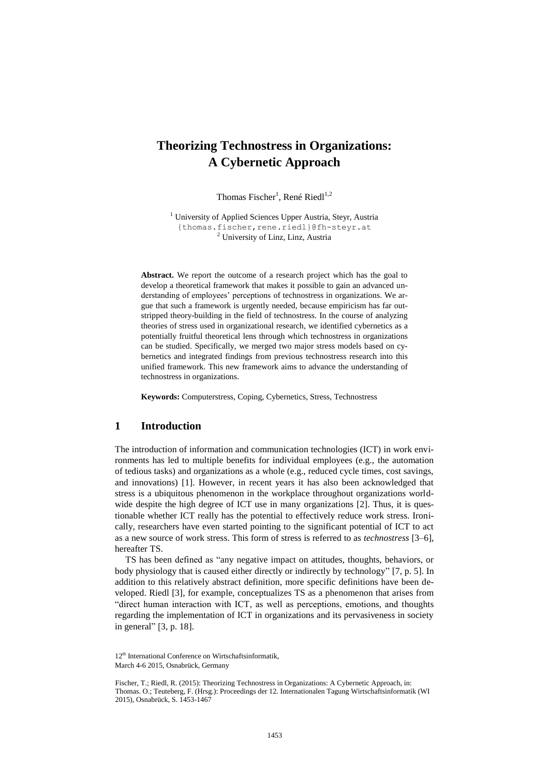# **Theorizing Technostress in Organizations: A Cybernetic Approach**

Thomas Fischer<sup>1</sup>, René Riedl<sup>1,2</sup>

<sup>1</sup> University of Applied Sciences Upper Austria, Steyr, Austria {thomas.fischer,rene.riedl}@fh-steyr.at <sup>2</sup> University of Linz, Linz, Austria

**Abstract.** We report the outcome of a research project which has the goal to develop a theoretical framework that makes it possible to gain an advanced understanding of employees' perceptions of technostress in organizations. We argue that such a framework is urgently needed, because empiricism has far outstripped theory-building in the field of technostress. In the course of analyzing theories of stress used in organizational research, we identified cybernetics as a potentially fruitful theoretical lens through which technostress in organizations can be studied. Specifically, we merged two major stress models based on cybernetics and integrated findings from previous technostress research into this unified framework. This new framework aims to advance the understanding of technostress in organizations.

**Keywords:** Computerstress, Coping, Cybernetics, Stress, Technostress

#### **1 Introduction**

The introduction of information and communication technologies (ICT) in work environments has led to multiple benefits for individual employees (e.g., the automation of tedious tasks) and organizations as a whole (e.g., reduced cycle times, cost savings, and innovations) [1]. However, in recent years it has also been acknowledged that stress is a ubiquitous phenomenon in the workplace throughout organizations worldwide despite the high degree of ICT use in many organizations [2]. Thus, it is questionable whether ICT really has the potential to effectively reduce work stress. Ironically, researchers have even started pointing to the significant potential of ICT to act as a new source of work stress. This form of stress is referred to as *technostress* [3–6], hereafter TS.

TS has been defined as "any negative impact on attitudes, thoughts, behaviors, or body physiology that is caused either directly or indirectly by technology" [7, p. 5]. In addition to this relatively abstract definition, more specific definitions have been developed. Riedl [3], for example, conceptualizes TS as a phenomenon that arises from "direct human interaction with ICT, as well as perceptions, emotions, and thoughts regarding the implementation of ICT in organizations and its pervasiveness in society in general" [3, p. 18].

<sup>12&</sup>lt;sup>th</sup> International Conference on Wirtschaftsinformatik. March 4-6 2015, Osnabrück, Germany

Fischer, T.; Riedl, R. (2015): Theorizing Technostress in Organizations: A Cybernetic Approach, in: Thomas. O.; Teuteberg, F. (Hrsg.): Proceedings der 12. Internationalen Tagung Wirtschaftsinformatik (WI 2015), Osnabrück, S. 1453-1467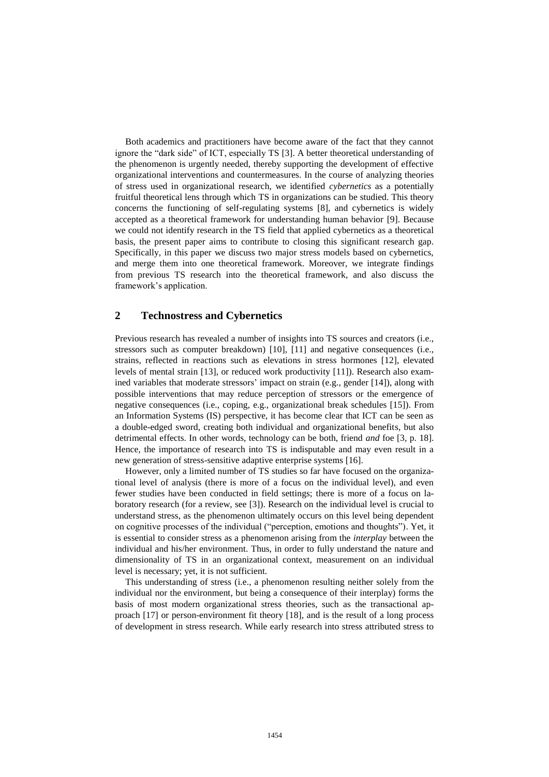Both academics and practitioners have become aware of the fact that they cannot ignore the "dark side" of ICT, especially TS [3]. A better theoretical understanding of the phenomenon is urgently needed, thereby supporting the development of effective organizational interventions and countermeasures. In the course of analyzing theories of stress used in organizational research, we identified *cybernetics* as a potentially fruitful theoretical lens through which TS in organizations can be studied. This theory concerns the functioning of self-regulating systems [8], and cybernetics is widely accepted as a theoretical framework for understanding human behavior [9]. Because we could not identify research in the TS field that applied cybernetics as a theoretical basis, the present paper aims to contribute to closing this significant research gap. Specifically, in this paper we discuss two major stress models based on cybernetics, and merge them into one theoretical framework. Moreover, we integrate findings from previous TS research into the theoretical framework, and also discuss the framework's application.

#### **2 Technostress and Cybernetics**

Previous research has revealed a number of insights into TS sources and creators (i.e., stressors such as computer breakdown) [10], [11] and negative consequences (i.e., strains, reflected in reactions such as elevations in stress hormones [12], elevated levels of mental strain [13], or reduced work productivity [11]). Research also examined variables that moderate stressors' impact on strain (e.g., gender [14]), along with possible interventions that may reduce perception of stressors or the emergence of negative consequences (i.e., coping, e.g., organizational break schedules [15]). From an Information Systems (IS) perspective, it has become clear that ICT can be seen as a double-edged sword, creating both individual and organizational benefits, but also detrimental effects. In other words, technology can be both, friend *and* foe [3, p. 18]. Hence, the importance of research into TS is indisputable and may even result in a new generation of stress-sensitive adaptive enterprise systems [16].

However, only a limited number of TS studies so far have focused on the organizational level of analysis (there is more of a focus on the individual level), and even fewer studies have been conducted in field settings; there is more of a focus on laboratory research (for a review, see [3]). Research on the individual level is crucial to understand stress, as the phenomenon ultimately occurs on this level being dependent on cognitive processes of the individual ("perception, emotions and thoughts"). Yet, it is essential to consider stress as a phenomenon arising from the *interplay* between the individual and his/her environment. Thus, in order to fully understand the nature and dimensionality of TS in an organizational context, measurement on an individual level is necessary; yet, it is not sufficient.

This understanding of stress (i.e., a phenomenon resulting neither solely from the individual nor the environment, but being a consequence of their interplay) forms the basis of most modern organizational stress theories, such as the transactional approach [17] or person-environment fit theory [18], and is the result of a long process of development in stress research. While early research into stress attributed stress to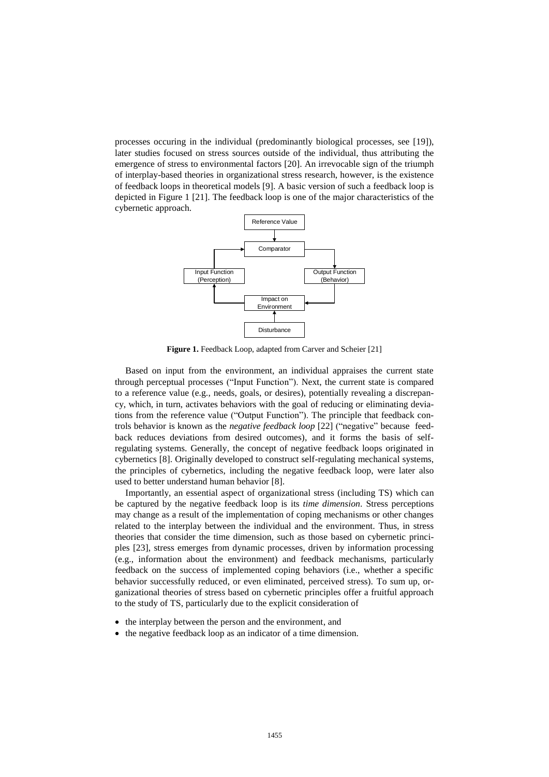processes occuring in the individual (predominantly biological processes, see [19]), later studies focused on stress sources outside of the individual, thus attributing the emergence of stress to environmental factors [20]. An irrevocable sign of the triumph of interplay-based theories in organizational stress research, however, is the existence of feedback loops in theoretical models [9]. A basic version of such a feedback loop is depicted in Figure 1 [21]. The feedback loop is one of the major characteristics of the cybernetic approach.



**Figure 1.** Feedback Loop, adapted from Carver and Scheier [21]

Based on input from the environment, an individual appraises the current state through perceptual processes ("Input Function"). Next, the current state is compared to a reference value (e.g., needs, goals, or desires), potentially revealing a discrepancy, which, in turn, activates behaviors with the goal of reducing or eliminating deviations from the reference value ("Output Function"). The principle that feedback controls behavior is known as the *negative feedback loop* [22] ("negative" because feedback reduces deviations from desired outcomes), and it forms the basis of selfregulating systems. Generally, the concept of negative feedback loops originated in cybernetics [8]. Originally developed to construct self-regulating mechanical systems, the principles of cybernetics, including the negative feedback loop, were later also used to better understand human behavior [8].

Importantly, an essential aspect of organizational stress (including TS) which can be captured by the negative feedback loop is its *time dimension*. Stress perceptions may change as a result of the implementation of coping mechanisms or other changes related to the interplay between the individual and the environment. Thus, in stress theories that consider the time dimension, such as those based on cybernetic principles [23], stress emerges from dynamic processes, driven by information processing (e.g., information about the environment) and feedback mechanisms, particularly feedback on the success of implemented coping behaviors (i.e., whether a specific behavior successfully reduced, or even eliminated, perceived stress). To sum up, organizational theories of stress based on cybernetic principles offer a fruitful approach to the study of TS, particularly due to the explicit consideration of

- the interplay between the person and the environment, and
- the negative feedback loop as an indicator of a time dimension.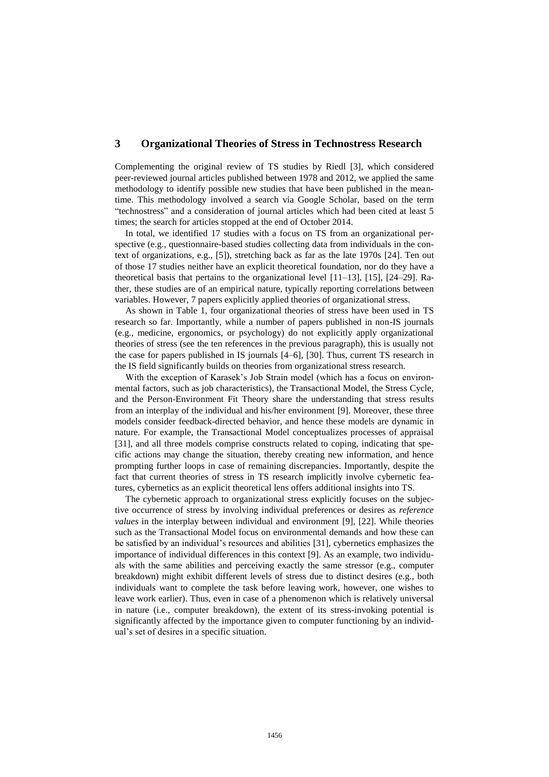#### **3 Organizational Theories of Stress in Technostress Research**

Complementing the original review of TS studies by Riedl [3], which considered peer-reviewed journal articles published between 1978 and 2012, we applied the same methodology to identify possible new studies that have been published in the meantime. This methodology involved a search via Google Scholar, based on the term "technostress" and a consideration of journal articles which had been cited at least 5 times; the search for articles stopped at the end of October 2014.

In total, we identified 17 studies with a focus on TS from an organizational perspective (e.g., questionnaire-based studies collecting data from individuals in the context of organizations, e.g., [5]), stretching back as far as the late 1970s [24]. Ten out of those 17 studies neither have an explicit theoretical foundation, nor do they have a theoretical basis that pertains to the organizational level [11–13], [15], [24–29]. Rather, these studies are of an empirical nature, typically reporting correlations between variables. However, 7 papers explicitly applied theories of organizational stress.

As shown in Table 1, four organizational theories of stress have been used in TS research so far. Importantly, while a number of papers published in non-IS journals (e.g., medicine, ergonomics, or psychology) do not explicitly apply organizational theories of stress (see the ten references in the previous paragraph), this is usually not the case for papers published in IS journals [4–6], [30]. Thus, current TS research in the IS field significantly builds on theories from organizational stress research.

With the exception of Karasek's Job Strain model (which has a focus on environmental factors, such as job characteristics), the Transactional Model, the Stress Cycle, and the Person-Environment Fit Theory share the understanding that stress results from an interplay of the individual and his/her environment [9]. Moreover, these three models consider feedback-directed behavior, and hence these models are dynamic in nature. For example, the Transactional Model conceptualizes processes of appraisal [31], and all three models comprise constructs related to coping, indicating that specific actions may change the situation, thereby creating new information, and hence prompting further loops in case of remaining discrepancies. Importantly, despite the fact that current theories of stress in TS research implicitly involve cybernetic features, cybernetics as an explicit theoretical lens offers additional insights into TS.

The cybernetic approach to organizational stress explicitly focuses on the subjective occurrence of stress by involving individual preferences or desires as *reference values* in the interplay between individual and environment [9], [22]. While theories such as the Transactional Model focus on environmental demands and how these can be satisfied by an individual's resources and abilities [31], cybernetics emphasizes the importance of individual differences in this context [9]. As an example, two individuals with the same abilities and perceiving exactly the same stressor (e.g., computer breakdown) might exhibit different levels of stress due to distinct desires (e.g., both individuals want to complete the task before leaving work, however, one wishes to leave work earlier). Thus, even in case of a phenomenon which is relatively universal in nature (i.e., computer breakdown), the extent of its stress-invoking potential is significantly affected by the importance given to computer functioning by an individual's set of desires in a specific situation.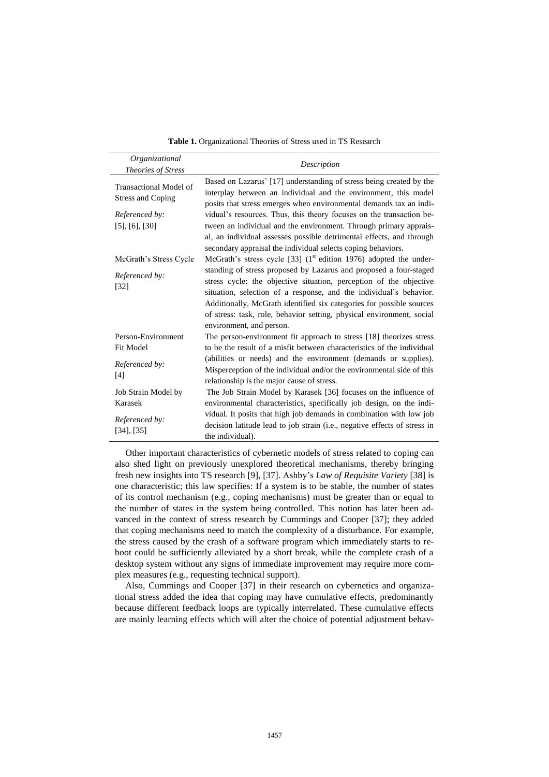**Table 1.** Organizational Theories of Stress used in TS Research

| Organizational<br><b>Theories of Stress</b>        | Description                                                                                                                                                                                                                                                                                                                                                                                |
|----------------------------------------------------|--------------------------------------------------------------------------------------------------------------------------------------------------------------------------------------------------------------------------------------------------------------------------------------------------------------------------------------------------------------------------------------------|
| Transactional Model of<br><b>Stress and Coping</b> | Based on Lazarus' [17] understanding of stress being created by the<br>interplay between an individual and the environment, this model<br>posits that stress emerges when environmental demands tax an indi-                                                                                                                                                                               |
| Referenced by:                                     | vidual's resources. Thus, this theory focuses on the transaction be-                                                                                                                                                                                                                                                                                                                       |
| $[5]$ , $[6]$ , $[30]$                             | tween an individual and the environment. Through primary apprais-                                                                                                                                                                                                                                                                                                                          |
|                                                    | al, an individual assesses possible detrimental effects, and through<br>secondary appraisal the individual selects coping behaviors.                                                                                                                                                                                                                                                       |
| McGrath's Stress Cycle                             | McGrath's stress cycle [33] $(1st$ edition 1976) adopted the under-                                                                                                                                                                                                                                                                                                                        |
| Referenced by:<br>$[32]$                           | standing of stress proposed by Lazarus and proposed a four-staged<br>stress cycle: the objective situation, perception of the objective<br>situation, selection of a response, and the individual's behavior.<br>Additionally, McGrath identified six categories for possible sources<br>of stress: task, role, behavior setting, physical environment, social<br>environment, and person. |
| Person-Environment                                 | The person-environment fit approach to stress [18] theorizes stress                                                                                                                                                                                                                                                                                                                        |
| <b>Fit Model</b>                                   | to be the result of a misfit between characteristics of the individual                                                                                                                                                                                                                                                                                                                     |
| Referenced by:<br>[4]                              | (abilities or needs) and the environment (demands or supplies).<br>Misperception of the individual and/or the environmental side of this<br>relationship is the major cause of stress.                                                                                                                                                                                                     |
| Job Strain Model by                                | The Job Strain Model by Karasek [36] focuses on the influence of                                                                                                                                                                                                                                                                                                                           |
| Karasek                                            | environmental characteristics, specifically job design, on the indi-                                                                                                                                                                                                                                                                                                                       |
| Referenced by:<br>[34], [35]                       | vidual. It posits that high job demands in combination with low job<br>decision latitude lead to job strain (i.e., negative effects of stress in<br>the individual).                                                                                                                                                                                                                       |

Other important characteristics of cybernetic models of stress related to coping can also shed light on previously unexplored theoretical mechanisms, thereby bringing fresh new insights into TS research [9], [37]. Ashby's *Law of Requisite Variety* [38] is one characteristic; this law specifies: If a system is to be stable, the number of states of its control mechanism (e.g., coping mechanisms) must be greater than or equal to the number of states in the system being controlled. This notion has later been advanced in the context of stress research by Cummings and Cooper [37]; they added that coping mechanisms need to match the complexity of a disturbance. For example, the stress caused by the crash of a software program which immediately starts to reboot could be sufficiently alleviated by a short break, while the complete crash of a desktop system without any signs of immediate improvement may require more complex measures (e.g., requesting technical support).

Also, Cummings and Cooper [37] in their research on cybernetics and organizational stress added the idea that coping may have cumulative effects, predominantly because different feedback loops are typically interrelated. These cumulative effects are mainly learning effects which will alter the choice of potential adjustment behav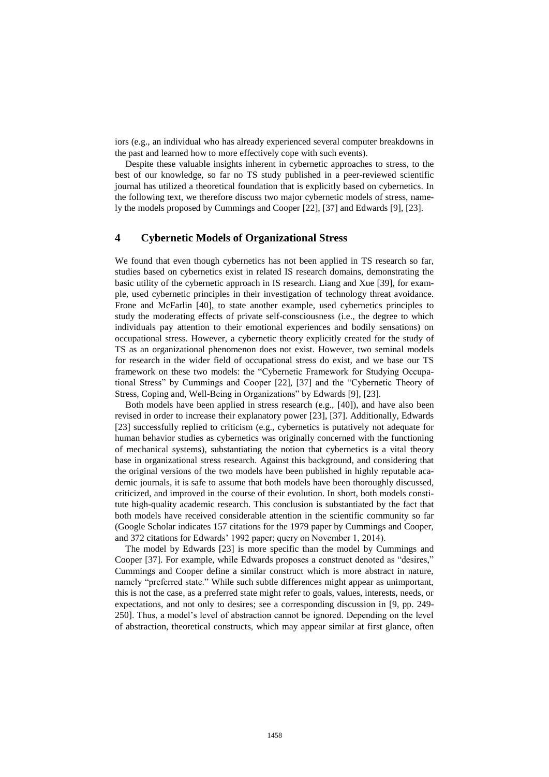iors (e.g., an individual who has already experienced several computer breakdowns in the past and learned how to more effectively cope with such events).

Despite these valuable insights inherent in cybernetic approaches to stress, to the best of our knowledge, so far no TS study published in a peer-reviewed scientific journal has utilized a theoretical foundation that is explicitly based on cybernetics. In the following text, we therefore discuss two major cybernetic models of stress, namely the models proposed by Cummings and Cooper [22], [37] and Edwards [9], [23].

### **4 Cybernetic Models of Organizational Stress**

We found that even though cybernetics has not been applied in TS research so far, studies based on cybernetics exist in related IS research domains, demonstrating the basic utility of the cybernetic approach in IS research. Liang and Xue [39], for example, used cybernetic principles in their investigation of technology threat avoidance. Frone and McFarlin [40], to state another example, used cybernetics principles to study the moderating effects of private self-consciousness (i.e., the degree to which individuals pay attention to their emotional experiences and bodily sensations) on occupational stress. However, a cybernetic theory explicitly created for the study of TS as an organizational phenomenon does not exist. However, two seminal models for research in the wider field of occupational stress do exist, and we base our TS framework on these two models: the "Cybernetic Framework for Studying Occupational Stress" by Cummings and Cooper [22], [37] and the "Cybernetic Theory of Stress, Coping and, Well-Being in Organizations" by Edwards [9], [23].

Both models have been applied in stress research (e.g., [40]), and have also been revised in order to increase their explanatory power [23], [37]. Additionally, Edwards [23] successfully replied to criticism (e.g., cybernetics is putatively not adequate for human behavior studies as cybernetics was originally concerned with the functioning of mechanical systems), substantiating the notion that cybernetics is a vital theory base in organizational stress research. Against this background, and considering that the original versions of the two models have been published in highly reputable academic journals, it is safe to assume that both models have been thoroughly discussed, criticized, and improved in the course of their evolution. In short, both models constitute high-quality academic research. This conclusion is substantiated by the fact that both models have received considerable attention in the scientific community so far (Google Scholar indicates 157 citations for the 1979 paper by Cummings and Cooper, and 372 citations for Edwards' 1992 paper; query on November 1, 2014).

The model by Edwards [23] is more specific than the model by Cummings and Cooper [37]. For example, while Edwards proposes a construct denoted as "desires," Cummings and Cooper define a similar construct which is more abstract in nature, namely "preferred state." While such subtle differences might appear as unimportant, this is not the case, as a preferred state might refer to goals, values, interests, needs, or expectations, and not only to desires; see a corresponding discussion in [9, pp. 249- 250]. Thus, a model's level of abstraction cannot be ignored. Depending on the level of abstraction, theoretical constructs, which may appear similar at first glance, often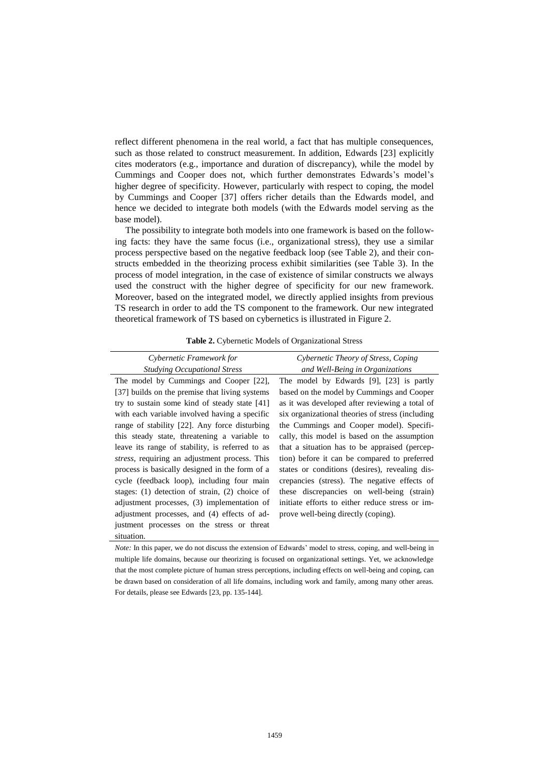reflect different phenomena in the real world, a fact that has multiple consequences, such as those related to construct measurement. In addition, Edwards [23] explicitly cites moderators (e.g., importance and duration of discrepancy), while the model by Cummings and Cooper does not, which further demonstrates Edwards's model's higher degree of specificity. However, particularly with respect to coping, the model by Cummings and Cooper [37] offers richer details than the Edwards model, and hence we decided to integrate both models (with the Edwards model serving as the base model).

The possibility to integrate both models into one framework is based on the following facts: they have the same focus (i.e., organizational stress), they use a similar process perspective based on the negative feedback loop (see Table 2), and their constructs embedded in the theorizing process exhibit similarities (see Table 3). In the process of model integration, in the case of existence of similar constructs we always used the construct with the higher degree of specificity for our new framework. Moreover, based on the integrated model, we directly applied insights from previous TS research in order to add the TS component to the framework. Our new integrated theoretical framework of TS based on cybernetics is illustrated in Figure 2.

| Cybernetic Framework for                              | Cybernetic Theory of Stress, Coping              |
|-------------------------------------------------------|--------------------------------------------------|
| <b>Studying Occupational Stress</b>                   | and Well-Being in Organizations                  |
| The model by Cummings and Cooper [22],                | The model by Edwards [9], [23] is partly         |
| [37] builds on the premise that living systems        | based on the model by Cummings and Cooper        |
| try to sustain some kind of steady state [41]         | as it was developed after reviewing a total of   |
| with each variable involved having a specific         | six organizational theories of stress (including |
| range of stability [22]. Any force disturbing         | the Cummings and Cooper model). Specifi-         |
| this steady state, threatening a variable to          | cally, this model is based on the assumption     |
| leave its range of stability, is referred to as       | that a situation has to be appraised (percep-    |
| <i>stress</i> , requiring an adjustment process. This | tion) before it can be compared to preferred     |
| process is basically designed in the form of a        | states or conditions (desires), revealing dis-   |
| cycle (feedback loop), including four main            | crepancies (stress). The negative effects of     |
| stages: $(1)$ detection of strain, $(2)$ choice of    | these discrepancies on well-being (strain)       |
| adjustment processes, (3) implementation of           | initiate efforts to either reduce stress or im-  |
| adjustment processes, and (4) effects of ad-          | prove well-being directly (coping).              |
| justment processes on the stress or threat            |                                                  |
| situation.                                            |                                                  |

*Note:* In this paper, we do not discuss the extension of Edwards' model to stress, coping, and well-being in multiple life domains, because our theorizing is focused on organizational settings. Yet, we acknowledge that the most complete picture of human stress perceptions, including effects on well-being and coping, can be drawn based on consideration of all life domains, including work and family, among many other areas. For details, please see Edwards [23, pp. 135-144].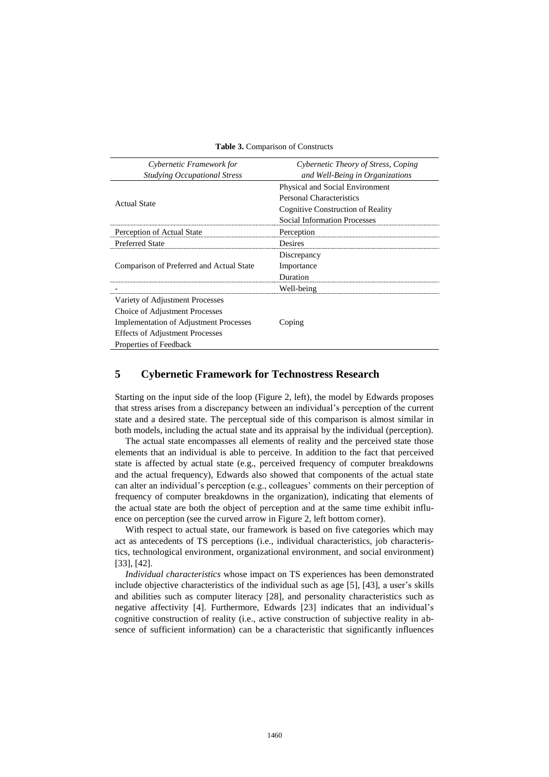| Cybernetic Framework for                      | Cybernetic Theory of Stress, Coping |
|-----------------------------------------------|-------------------------------------|
| <b>Studying Occupational Stress</b>           | and Well-Being in Organizations     |
|                                               | Physical and Social Environment     |
| <b>Actual State</b>                           | <b>Personal Characteristics</b>     |
|                                               | Cognitive Construction of Reality   |
|                                               | <b>Social Information Processes</b> |
| Perception of Actual State                    | Perception                          |
| <b>Preferred State</b>                        | Desires                             |
|                                               | Discrepancy                         |
| Comparison of Preferred and Actual State      | Importance                          |
|                                               | Duration                            |
|                                               | Well-being                          |
| Variety of Adjustment Processes               |                                     |
| Choice of Adjustment Processes                |                                     |
| <b>Implementation of Adjustment Processes</b> | Coping                              |
| <b>Effects of Adjustment Processes</b>        |                                     |
| Properties of Feedback                        |                                     |

**Table 3.** Comparison of Constructs

## **5 Cybernetic Framework for Technostress Research**

Starting on the input side of the loop (Figure 2, left), the model by Edwards proposes that stress arises from a discrepancy between an individual's perception of the current state and a desired state. The perceptual side of this comparison is almost similar in both models, including the actual state and its appraisal by the individual (perception).

The actual state encompasses all elements of reality and the perceived state those elements that an individual is able to perceive. In addition to the fact that perceived state is affected by actual state (e.g., perceived frequency of computer breakdowns and the actual frequency), Edwards also showed that components of the actual state can alter an individual's perception (e.g., colleagues' comments on their perception of frequency of computer breakdowns in the organization), indicating that elements of the actual state are both the object of perception and at the same time exhibit influence on perception (see the curved arrow in Figure 2, left bottom corner).

With respect to actual state, our framework is based on five categories which may act as antecedents of TS perceptions (i.e., individual characteristics, job characteristics, technological environment, organizational environment, and social environment) [33], [42].

*Individual characteristics* whose impact on TS experiences has been demonstrated include objective characteristics of the individual such as age [5], [43], a user's skills and abilities such as computer literacy [28], and personality characteristics such as negative affectivity [4]. Furthermore, Edwards [23] indicates that an individual's cognitive construction of reality (i.e., active construction of subjective reality in absence of sufficient information) can be a characteristic that significantly influences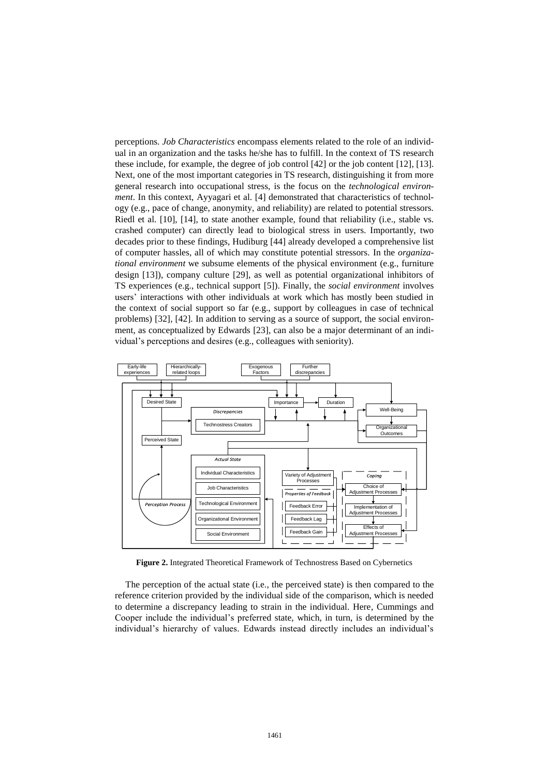perceptions. *Job Characteristics* encompass elements related to the role of an individual in an organization and the tasks he/she has to fulfill. In the context of TS research these include, for example, the degree of job control [42] or the job content [12], [13]. Next, one of the most important categories in TS research, distinguishing it from more general research into occupational stress, is the focus on the *technological environment*. In this context, Ayyagari et al. [4] demonstrated that characteristics of technology (e.g., pace of change, anonymity, and reliability) are related to potential stressors. Riedl et al. [10], [14], to state another example, found that reliability (i.e., stable vs. crashed computer) can directly lead to biological stress in users. Importantly, two decades prior to these findings, Hudiburg [44] already developed a comprehensive list of computer hassles, all of which may constitute potential stressors. In the *organizational environment* we subsume elements of the physical environment (e.g., furniture design [13]), company culture [29], as well as potential organizational inhibitors of TS experiences (e.g., technical support [5]). Finally, the *social environment* involves users' interactions with other individuals at work which has mostly been studied in the context of social support so far (e.g., support by colleagues in case of technical problems) [32], [42]. In addition to serving as a source of support, the social environment, as conceptualized by Edwards [23], can also be a major determinant of an individual's perceptions and desires (e.g., colleagues with seniority).



**Figure 2.** Integrated Theoretical Framework of Technostress Based on Cybernetics

The perception of the actual state (i.e., the perceived state) is then compared to the reference criterion provided by the individual side of the comparison, which is needed to determine a discrepancy leading to strain in the individual. Here, Cummings and Cooper include the individual's preferred state, which, in turn, is determined by the individual's hierarchy of values. Edwards instead directly includes an individual's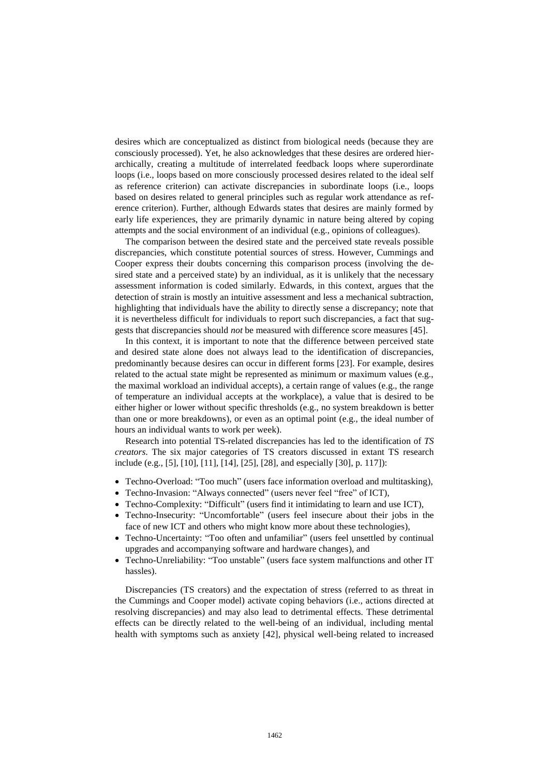desires which are conceptualized as distinct from biological needs (because they are consciously processed). Yet, he also acknowledges that these desires are ordered hierarchically, creating a multitude of interrelated feedback loops where superordinate loops (i.e., loops based on more consciously processed desires related to the ideal self as reference criterion) can activate discrepancies in subordinate loops (i.e., loops based on desires related to general principles such as regular work attendance as reference criterion). Further, although Edwards states that desires are mainly formed by early life experiences, they are primarily dynamic in nature being altered by coping attempts and the social environment of an individual (e.g., opinions of colleagues).

The comparison between the desired state and the perceived state reveals possible discrepancies, which constitute potential sources of stress. However, Cummings and Cooper express their doubts concerning this comparison process (involving the desired state and a perceived state) by an individual, as it is unlikely that the necessary assessment information is coded similarly. Edwards, in this context, argues that the detection of strain is mostly an intuitive assessment and less a mechanical subtraction, highlighting that individuals have the ability to directly sense a discrepancy; note that it is nevertheless difficult for individuals to report such discrepancies, a fact that suggests that discrepancies should *not* be measured with difference score measures [45].

In this context, it is important to note that the difference between perceived state and desired state alone does not always lead to the identification of discrepancies, predominantly because desires can occur in different forms [23]. For example, desires related to the actual state might be represented as minimum or maximum values (e.g., the maximal workload an individual accepts), a certain range of values (e.g., the range of temperature an individual accepts at the workplace), a value that is desired to be either higher or lower without specific thresholds (e.g., no system breakdown is better than one or more breakdowns), or even as an optimal point (e.g., the ideal number of hours an individual wants to work per week).

Research into potential TS-related discrepancies has led to the identification of *TS creators*. The six major categories of TS creators discussed in extant TS research include (e.g., [5], [10], [11], [14], [25], [28], and especially [30], p. 117]):

- Techno-Overload: "Too much" (users face information overload and multitasking),
- Techno-Invasion: "Always connected" (users never feel "free" of ICT),
- Techno-Complexity: "Difficult" (users find it intimidating to learn and use ICT),
- Techno-Insecurity: "Uncomfortable" (users feel insecure about their jobs in the face of new ICT and others who might know more about these technologies),
- Techno-Uncertainty: "Too often and unfamiliar" (users feel unsettled by continual upgrades and accompanying software and hardware changes), and
- Techno-Unreliability: "Too unstable" (users face system malfunctions and other IT hassles).

Discrepancies (TS creators) and the expectation of stress (referred to as threat in the Cummings and Cooper model) activate coping behaviors (i.e., actions directed at resolving discrepancies) and may also lead to detrimental effects. These detrimental effects can be directly related to the well-being of an individual, including mental health with symptoms such as anxiety [42], physical well-being related to increased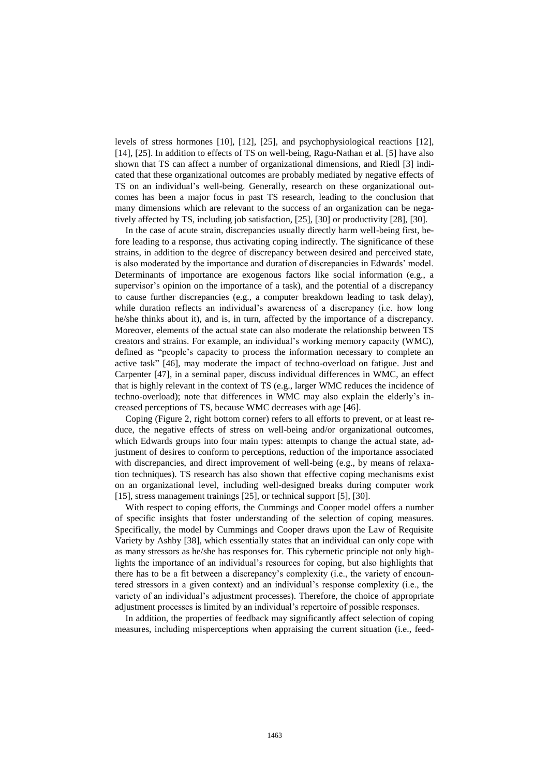levels of stress hormones [10], [12], [25], and psychophysiological reactions [12], [14], [25]. In addition to effects of TS on well-being, Ragu-Nathan et al. [5] have also shown that TS can affect a number of organizational dimensions, and Riedl [3] indicated that these organizational outcomes are probably mediated by negative effects of TS on an individual's well-being. Generally, research on these organizational outcomes has been a major focus in past TS research, leading to the conclusion that many dimensions which are relevant to the success of an organization can be negatively affected by TS, including job satisfaction, [25], [30] or productivity [28], [30].

In the case of acute strain, discrepancies usually directly harm well-being first, before leading to a response, thus activating coping indirectly. The significance of these strains, in addition to the degree of discrepancy between desired and perceived state, is also moderated by the importance and duration of discrepancies in Edwards' model. Determinants of importance are exogenous factors like social information (e.g., a supervisor's opinion on the importance of a task), and the potential of a discrepancy to cause further discrepancies (e.g., a computer breakdown leading to task delay), while duration reflects an individual's awareness of a discrepancy (i.e. how long he/she thinks about it), and is, in turn, affected by the importance of a discrepancy. Moreover, elements of the actual state can also moderate the relationship between TS creators and strains. For example, an individual's working memory capacity (WMC), defined as "people's capacity to process the information necessary to complete an active task" [46], may moderate the impact of techno-overload on fatigue. Just and Carpenter [47], in a seminal paper, discuss individual differences in WMC, an effect that is highly relevant in the context of TS (e.g., larger WMC reduces the incidence of techno-overload); note that differences in WMC may also explain the elderly's increased perceptions of TS, because WMC decreases with age [46].

Coping (Figure 2, right bottom corner) refers to all efforts to prevent, or at least reduce, the negative effects of stress on well-being and/or organizational outcomes, which Edwards groups into four main types: attempts to change the actual state, adjustment of desires to conform to perceptions, reduction of the importance associated with discrepancies, and direct improvement of well-being (e.g., by means of relaxation techniques). TS research has also shown that effective coping mechanisms exist on an organizational level, including well-designed breaks during computer work [15], stress management trainings [25], or technical support [5], [30].

With respect to coping efforts, the Cummings and Cooper model offers a number of specific insights that foster understanding of the selection of coping measures. Specifically, the model by Cummings and Cooper draws upon the Law of Requisite Variety by Ashby [38], which essentially states that an individual can only cope with as many stressors as he/she has responses for. This cybernetic principle not only highlights the importance of an individual's resources for coping, but also highlights that there has to be a fit between a discrepancy's complexity (i.e., the variety of encountered stressors in a given context) and an individual's response complexity (i.e., the variety of an individual's adjustment processes). Therefore, the choice of appropriate adjustment processes is limited by an individual's repertoire of possible responses.

In addition, the properties of feedback may significantly affect selection of coping measures, including misperceptions when appraising the current situation (i.e., feed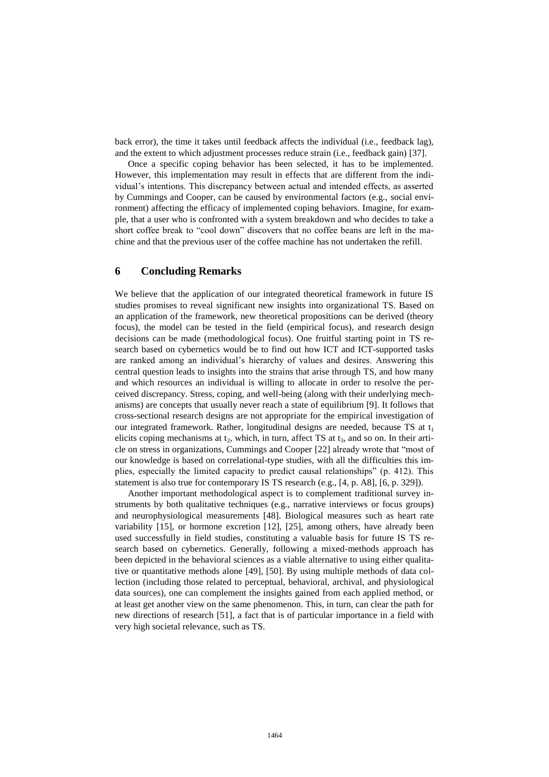back error), the time it takes until feedback affects the individual (i.e., feedback lag), and the extent to which adjustment processes reduce strain (i.e., feedback gain) [37].

Once a specific coping behavior has been selected, it has to be implemented. However, this implementation may result in effects that are different from the individual's intentions. This discrepancy between actual and intended effects, as asserted by Cummings and Cooper, can be caused by environmental factors (e.g., social environment) affecting the efficacy of implemented coping behaviors. Imagine, for example, that a user who is confronted with a system breakdown and who decides to take a short coffee break to "cool down" discovers that no coffee beans are left in the machine and that the previous user of the coffee machine has not undertaken the refill.

#### **6 Concluding Remarks**

We believe that the application of our integrated theoretical framework in future IS studies promises to reveal significant new insights into organizational TS. Based on an application of the framework, new theoretical propositions can be derived (theory focus), the model can be tested in the field (empirical focus), and research design decisions can be made (methodological focus). One fruitful starting point in TS research based on cybernetics would be to find out how ICT and ICT-supported tasks are ranked among an individual's hierarchy of values and desires. Answering this central question leads to insights into the strains that arise through TS, and how many and which resources an individual is willing to allocate in order to resolve the perceived discrepancy. Stress, coping, and well-being (along with their underlying mechanisms) are concepts that usually never reach a state of equilibrium [9]. It follows that cross-sectional research designs are not appropriate for the empirical investigation of our integrated framework. Rather, longitudinal designs are needed, because TS at t<sub>1</sub> elicits coping mechanisms at  $t_2$ , which, in turn, affect TS at  $t_3$ , and so on. In their article on stress in organizations, Cummings and Cooper [22] already wrote that "most of our knowledge is based on correlational-type studies, with all the difficulties this implies, especially the limited capacity to predict causal relationships" (p. 412). This statement is also true for contemporary IS TS research (e.g., [4, p. A8], [6, p. 329]).

Another important methodological aspect is to complement traditional survey instruments by both qualitative techniques (e.g., narrative interviews or focus groups) and neurophysiological measurements [48]. Biological measures such as heart rate variability [15], or hormone excretion [12], [25], among others, have already been used successfully in field studies, constituting a valuable basis for future IS TS research based on cybernetics. Generally, following a mixed-methods approach has been depicted in the behavioral sciences as a viable alternative to using either qualitative or quantitative methods alone [49], [50]. By using multiple methods of data collection (including those related to perceptual, behavioral, archival, and physiological data sources), one can complement the insights gained from each applied method, or at least get another view on the same phenomenon. This, in turn, can clear the path for new directions of research [51], a fact that is of particular importance in a field with very high societal relevance, such as TS.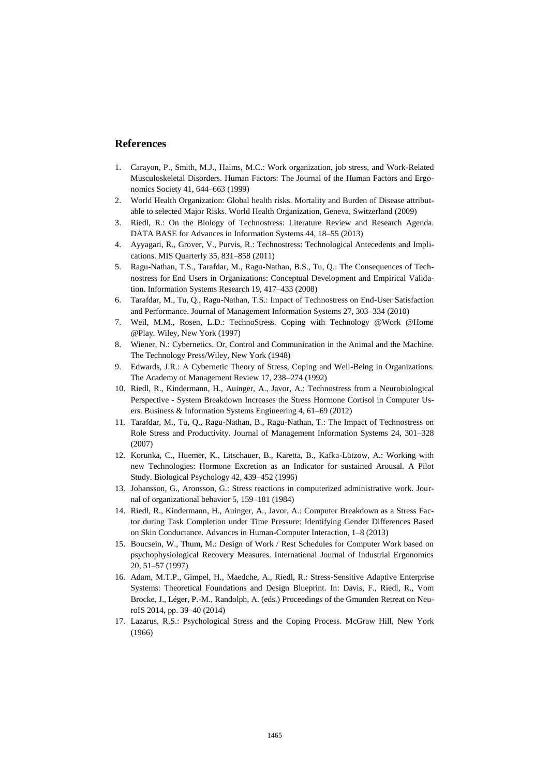#### **References**

- 1. Carayon, P., Smith, M.J., Haims, M.C.: Work organization, job stress, and Work-Related Musculoskeletal Disorders. Human Factors: The Journal of the Human Factors and Ergonomics Society 41, 644–663 (1999)
- 2. World Health Organization: Global health risks. Mortality and Burden of Disease attributable to selected Major Risks. World Health Organization, Geneva, Switzerland (2009)
- 3. Riedl, R.: On the Biology of Technostress: Literature Review and Research Agenda. DATA BASE for Advances in Information Systems 44, 18–55 (2013)
- 4. Ayyagari, R., Grover, V., Purvis, R.: Technostress: Technological Antecedents and Implications. MIS Quarterly 35, 831–858 (2011)
- 5. Ragu-Nathan, T.S., Tarafdar, M., Ragu-Nathan, B.S., Tu, Q.: The Consequences of Technostress for End Users in Organizations: Conceptual Development and Empirical Validation. Information Systems Research 19, 417–433 (2008)
- 6. Tarafdar, M., Tu, Q., Ragu-Nathan, T.S.: Impact of Technostress on End-User Satisfaction and Performance. Journal of Management Information Systems 27, 303–334 (2010)
- 7. Weil, M.M., Rosen, L.D.: TechnoStress. Coping with Technology @Work @Home @Play. Wiley, New York (1997)
- 8. Wiener, N.: Cybernetics. Or, Control and Communication in the Animal and the Machine. The Technology Press/Wiley, New York (1948)
- 9. Edwards, J.R.: A Cybernetic Theory of Stress, Coping and Well-Being in Organizations. The Academy of Management Review 17, 238–274 (1992)
- 10. Riedl, R., Kindermann, H., Auinger, A., Javor, A.: Technostress from a Neurobiological Perspective - System Breakdown Increases the Stress Hormone Cortisol in Computer Users. Business & Information Systems Engineering 4, 61–69 (2012)
- 11. Tarafdar, M., Tu, Q., Ragu-Nathan, B., Ragu-Nathan, T.: The Impact of Technostress on Role Stress and Productivity. Journal of Management Information Systems 24, 301–328 (2007)
- 12. Korunka, C., Huemer, K., Litschauer, B., Karetta, B., Kafka-Lützow, A.: Working with new Technologies: Hormone Excretion as an Indicator for sustained Arousal. A Pilot Study. Biological Psychology 42, 439–452 (1996)
- 13. Johansson, G., Aronsson, G.: Stress reactions in computerized administrative work. Journal of organizational behavior 5, 159–181 (1984)
- 14. Riedl, R., Kindermann, H., Auinger, A., Javor, A.: Computer Breakdown as a Stress Factor during Task Completion under Time Pressure: Identifying Gender Differences Based on Skin Conductance. Advances in Human-Computer Interaction, 1–8 (2013)
- 15. Boucsein, W., Thum, M.: Design of Work / Rest Schedules for Computer Work based on psychophysiological Recovery Measures. International Journal of Industrial Ergonomics 20, 51–57 (1997)
- 16. Adam, M.T.P., Gimpel, H., Maedche, A., Riedl, R.: Stress-Sensitive Adaptive Enterprise Systems: Theoretical Foundations and Design Blueprint. In: Davis, F., Riedl, R., Vom Brocke, J., Léger, P.-M., Randolph, A. (eds.) Proceedings of the Gmunden Retreat on NeuroIS 2014, pp. 39–40 (2014)
- 17. Lazarus, R.S.: Psychological Stress and the Coping Process. McGraw Hill, New York (1966)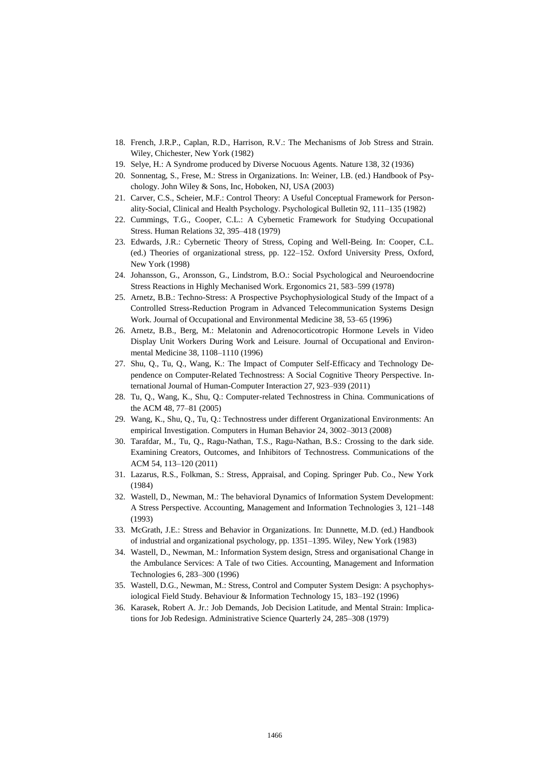- 18. French, J.R.P., Caplan, R.D., Harrison, R.V.: The Mechanisms of Job Stress and Strain. Wiley, Chichester, New York (1982)
- 19. Selye, H.: A Syndrome produced by Diverse Nocuous Agents. Nature 138, 32 (1936)
- 20. Sonnentag, S., Frese, M.: Stress in Organizations. In: Weiner, I.B. (ed.) Handbook of Psychology. John Wiley & Sons, Inc, Hoboken, NJ, USA (2003)
- 21. Carver, C.S., Scheier, M.F.: Control Theory: A Useful Conceptual Framework for Personality-Social, Clinical and Health Psychology. Psychological Bulletin 92, 111–135 (1982)
- 22. Cummings, T.G., Cooper, C.L.: A Cybernetic Framework for Studying Occupational Stress. Human Relations 32, 395–418 (1979)
- 23. Edwards, J.R.: Cybernetic Theory of Stress, Coping and Well-Being. In: Cooper, C.L. (ed.) Theories of organizational stress, pp. 122–152. Oxford University Press, Oxford, New York (1998)
- 24. Johansson, G., Aronsson, G., Lindstrom, B.O.: Social Psychological and Neuroendocrine Stress Reactions in Highly Mechanised Work. Ergonomics 21, 583–599 (1978)
- 25. Arnetz, B.B.: Techno-Stress: A Prospective Psychophysiological Study of the Impact of a Controlled Stress-Reduction Program in Advanced Telecommunication Systems Design Work. Journal of Occupational and Environmental Medicine 38, 53–65 (1996)
- 26. Arnetz, B.B., Berg, M.: Melatonin and Adrenocorticotropic Hormone Levels in Video Display Unit Workers During Work and Leisure. Journal of Occupational and Environmental Medicine 38, 1108–1110 (1996)
- 27. Shu, Q., Tu, Q., Wang, K.: The Impact of Computer Self-Efficacy and Technology Dependence on Computer-Related Technostress: A Social Cognitive Theory Perspective. International Journal of Human-Computer Interaction 27, 923–939 (2011)
- 28. Tu, Q., Wang, K., Shu, Q.: Computer-related Technostress in China. Communications of the ACM 48, 77–81 (2005)
- 29. Wang, K., Shu, Q., Tu, Q.: Technostress under different Organizational Environments: An empirical Investigation. Computers in Human Behavior 24, 3002–3013 (2008)
- 30. Tarafdar, M., Tu, Q., Ragu-Nathan, T.S., Ragu-Nathan, B.S.: Crossing to the dark side. Examining Creators, Outcomes, and Inhibitors of Technostress. Communications of the ACM 54, 113–120 (2011)
- 31. Lazarus, R.S., Folkman, S.: Stress, Appraisal, and Coping. Springer Pub. Co., New York (1984)
- 32. Wastell, D., Newman, M.: The behavioral Dynamics of Information System Development: A Stress Perspective. Accounting, Management and Information Technologies 3, 121–148 (1993)
- 33. McGrath, J.E.: Stress and Behavior in Organizations. In: Dunnette, M.D. (ed.) Handbook of industrial and organizational psychology, pp. 1351–1395. Wiley, New York (1983)
- 34. Wastell, D., Newman, M.: Information System design, Stress and organisational Change in the Ambulance Services: A Tale of two Cities. Accounting, Management and Information Technologies 6, 283–300 (1996)
- 35. Wastell, D.G., Newman, M.: Stress, Control and Computer System Design: A psychophysiological Field Study. Behaviour & Information Technology 15, 183–192 (1996)
- 36. Karasek, Robert A. Jr.: Job Demands, Job Decision Latitude, and Mental Strain: Implications for Job Redesign. Administrative Science Quarterly 24, 285–308 (1979)